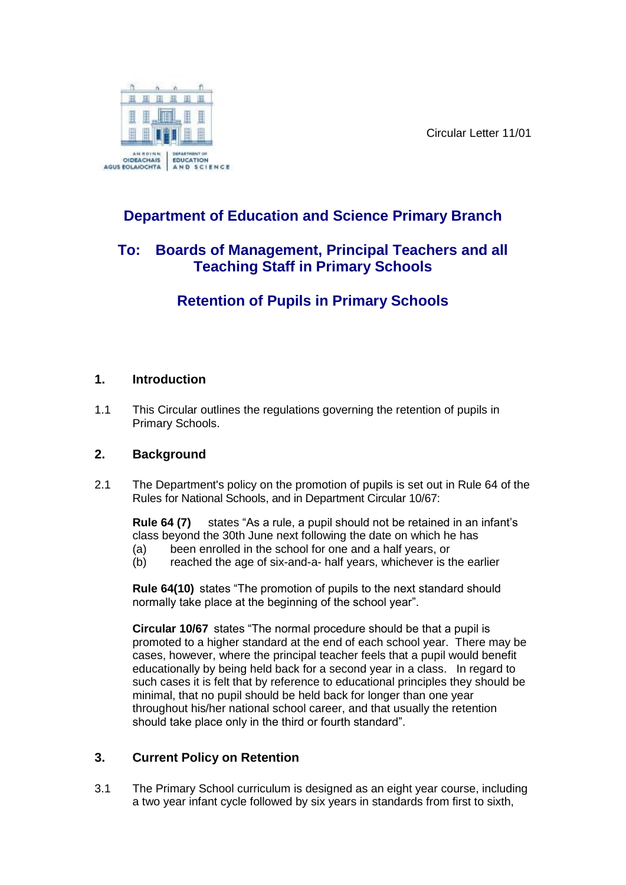Circular Letter 11/01



# **Department of Education and Science Primary Branch**

### **To: Boards of Management, Principal Teachers and all Teaching Staff in Primary Schools**

# **Retention of Pupils in Primary Schools**

#### **1. Introduction**

1.1 This Circular outlines the regulations governing the retention of pupils in Primary Schools.

#### **2. Background**

2.1 The Department's policy on the promotion of pupils is set out in Rule 64 of the Rules for National Schools, and in Department Circular 10/67:

**Rule 64 (7)** states "As a rule, a pupil should not be retained in an infant's class beyond the 30th June next following the date on which he has (a) been enrolled in the school for one and a half years, or

(b) reached the age of six-and-a- half years, whichever is the earlier

**Rule 64(10)** states "The promotion of pupils to the next standard should normally take place at the beginning of the school year".

**Circular 10/67** states "The normal procedure should be that a pupil is promoted to a higher standard at the end of each school year. There may be cases, however, where the principal teacher feels that a pupil would benefit educationally by being held back for a second year in a class. In regard to such cases it is felt that by reference to educational principles they should be minimal, that no pupil should be held back for longer than one year throughout his/her national school career, and that usually the retention should take place only in the third or fourth standard".

### **3. Current Policy on Retention**

3.1 The Primary School curriculum is designed as an eight year course, including a two year infant cycle followed by six years in standards from first to sixth,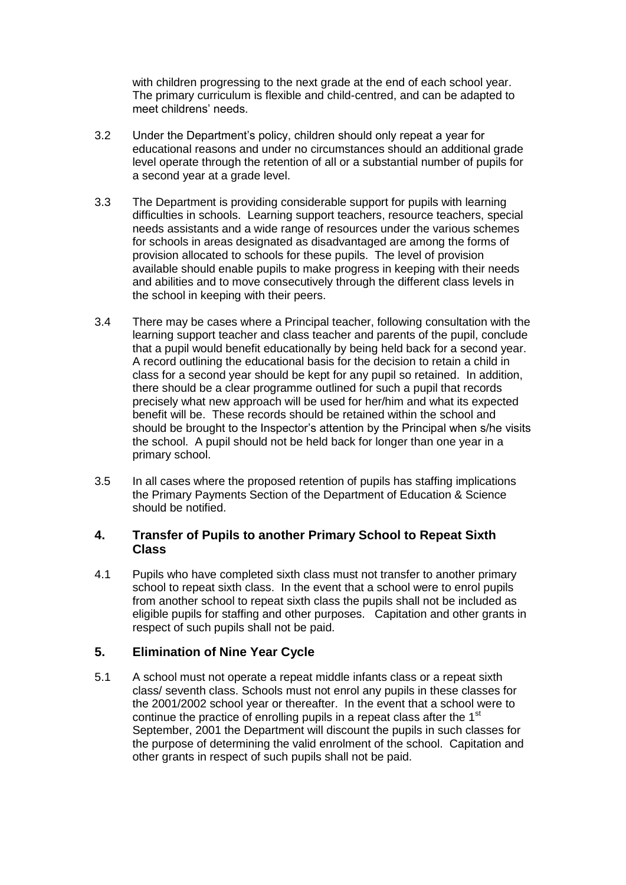with children progressing to the next grade at the end of each school year. The primary curriculum is flexible and child-centred, and can be adapted to meet childrens' needs.

- 3.2 Under the Department's policy, children should only repeat a year for educational reasons and under no circumstances should an additional grade level operate through the retention of all or a substantial number of pupils for a second year at a grade level.
- 3.3 The Department is providing considerable support for pupils with learning difficulties in schools. Learning support teachers, resource teachers, special needs assistants and a wide range of resources under the various schemes for schools in areas designated as disadvantaged are among the forms of provision allocated to schools for these pupils. The level of provision available should enable pupils to make progress in keeping with their needs and abilities and to move consecutively through the different class levels in the school in keeping with their peers.
- 3.4 There may be cases where a Principal teacher, following consultation with the learning support teacher and class teacher and parents of the pupil, conclude that a pupil would benefit educationally by being held back for a second year. A record outlining the educational basis for the decision to retain a child in class for a second year should be kept for any pupil so retained. In addition, there should be a clear programme outlined for such a pupil that records precisely what new approach will be used for her/him and what its expected benefit will be. These records should be retained within the school and should be brought to the Inspector's attention by the Principal when s/he visits the school. A pupil should not be held back for longer than one year in a primary school.
- 3.5 In all cases where the proposed retention of pupils has staffing implications the Primary Payments Section of the Department of Education & Science should be notified.

#### **4. Transfer of Pupils to another Primary School to Repeat Sixth Class**

4.1 Pupils who have completed sixth class must not transfer to another primary school to repeat sixth class. In the event that a school were to enrol pupils from another school to repeat sixth class the pupils shall not be included as eligible pupils for staffing and other purposes. Capitation and other grants in respect of such pupils shall not be paid.

#### **5. Elimination of Nine Year Cycle**

5.1 A school must not operate a repeat middle infants class or a repeat sixth class/ seventh class. Schools must not enrol any pupils in these classes for the 2001/2002 school year or thereafter. In the event that a school were to continue the practice of enrolling pupils in a repeat class after the 1<sup>st</sup> September, 2001 the Department will discount the pupils in such classes for the purpose of determining the valid enrolment of the school. Capitation and other grants in respect of such pupils shall not be paid.